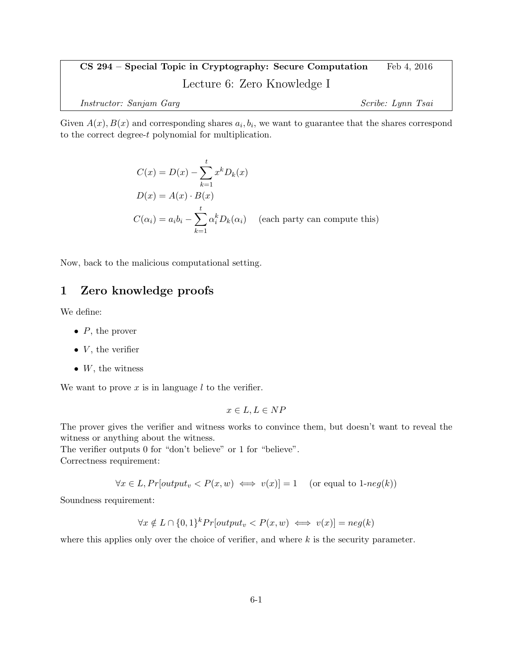# CS 294 – Special Topic in Cryptography: Secure Computation Feb 4, 2016 Lecture 6: Zero Knowledge I Instructor: Sanjam Garg Scribe: Lynn Tsai

Given  $A(x)$ ,  $B(x)$  and corresponding shares  $a_i, b_i$ , we want to guarantee that the shares correspond

$$
C(x) = D(x) - \sum_{k=1}^{t} x^{k} D_{k}(x)
$$
  

$$
D(x) = A(x) \cdot B(x)
$$
  

$$
C(\alpha_{i}) = a_{i}b_{i} - \sum_{k=1}^{t} \alpha_{i}^{k} D_{k}(\alpha_{i})
$$
 (each party can compute this)

Now, back to the malicious computational setting.

to the correct degree-t polynomial for multiplication.

## 1 Zero knowledge proofs

We define:

- $\bullet$  P, the prover
- $V$ , the verifier
- $W$ , the witness

We want to prove  $x$  is in language  $l$  to the verifier.

$$
x \in L, L \in NP
$$

The prover gives the verifier and witness works to convince them, but doesn't want to reveal the witness or anything about the witness.

The verifier outputs 0 for "don't believe" or 1 for "believe". Correctness requirement:

 $\forall x \in L, Pr[output_v < P(x, w) \iff v(x)] = 1 \quad (\text{or equal to } 1\text{-}neg(k))$ 

Soundness requirement:

$$
\forall x \notin L \cap \{0,1\}^k Pr[output_v < P(x,w) \iff v(x)] = neg(k)
$$

where this applies only over the choice of verifier, and where  $k$  is the security parameter.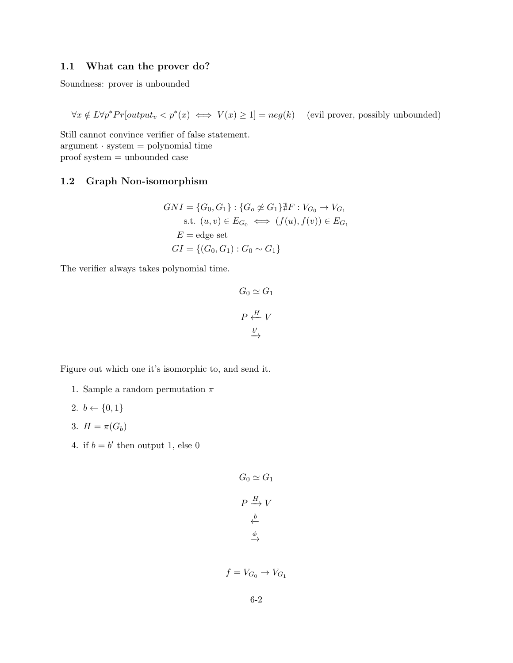### 1.1 What can the prover do?

Soundness: prover is unbounded

 $\forall x \notin L \forall p^* Pr[output_v < p^*(x) \iff V(x) \geq 1] = neg(k)$  (evil prover, possibly unbounded)

Still cannot convince verifier of false statement.  $argument · system = polynomial time$ proof system = unbounded case

#### 1.2 Graph Non-isomorphism

$$
GNI = \{G_0, G_1\} : \{G_o \not\cong G_1\} \nexists F : V_{G_0} \to V_{G_1}
$$
  
s.t.  $(u, v) \in E_{G_0} \iff (f(u), f(v)) \in E_{G_1}$   
 $E = \text{edge set}$   

$$
GI = \{(G_0, G_1) : G_0 \sim G_1\}
$$

The verifier always takes polynomial time.

$$
G_0 \simeq G_1
$$
  

$$
P \stackrel{H}{\longleftrightarrow} V
$$
  

$$
\stackrel{b'}{\longrightarrow}
$$

Figure out which one it's isomorphic to, and send it.

- 1. Sample a random permutation  $\pi$
- 2.  $b \leftarrow \{0, 1\}$
- 3.  $H = \pi(G_b)$
- 4. if  $b = b'$  then output 1, else 0

$$
G_0 \simeq G_1
$$
  

$$
P \xrightarrow{H} V
$$
  

$$
\xleftarrow{b} \xrightarrow{\phi}
$$

$$
f = V_{G_0} \to V_{G_1}
$$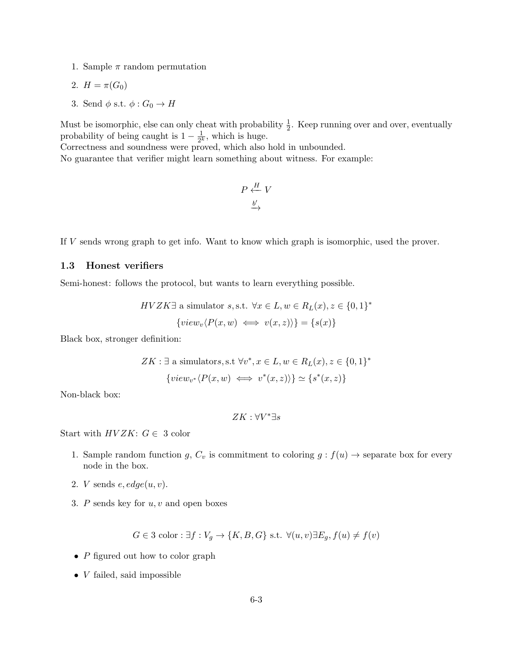1. Sample  $\pi$  random permutation

$$
2. H = \pi(G_0)
$$

3. Send  $\phi$  s.t.  $\phi: G_0 \to H$ 

Must be isomorphic, else can only cheat with probability  $\frac{1}{2}$ . Keep running over and over, eventually probability of being caught is  $1 - \frac{1}{2l}$  $\frac{1}{2^k}$ , which is huge.

Correctness and soundness were proved, which also hold in unbounded.

No guarantee that verifier might learn something about witness. For example:

$$
P \stackrel{H}{\longleftrightarrow} V
$$

$$
\stackrel{b'}{\longrightarrow}
$$

If V sends wrong graph to get info. Want to know which graph is isomorphic, used the prover.

#### 1.3 Honest verifiers

Semi-honest: follows the protocol, but wants to learn everything possible.

$$
HVZK\exists \text{ a simulator } s, s.t. \ \forall x \in L, w \in R_L(x), z \in \{0, 1\}^*
$$

$$
\{view_v\langle P(x, w) \iff v(x, z) \rangle\} = \{s(x)\}\
$$

Black box, stronger definition:

$$
ZK: \exists \text{ a simulators, s.t } } \forall v^*, x \in L, w \in R_L(x), z \in \{0, 1\}^*
$$

$$
\{view_{v^*}\langle P(x, w) \iff v^*(x, z)\rangle\} \simeq \{s^*(x, z)\}
$$

Non-black box:

$$
ZK:\forall V^* \exists s
$$

Start with  $HVZK: G \in 3$  color

- 1. Sample random function g,  $C_v$  is commitment to coloring  $g : f(u) \to \text{separate box}$  for every node in the box.
- 2. *V* sends  $e, edge(u, v)$ .
- 3.  $P$  sends key for  $u, v$  and open boxes

$$
G \in 3 \text{ color}: \exists f: V_g \to \{K, B, G\} \text{ s.t. } \forall (u, v) \exists E_g, f(u) \neq f(v)
$$

- $\bullet\,$   $P$  figured out how to color graph
- $\bullet$  *V* failed, said impossible